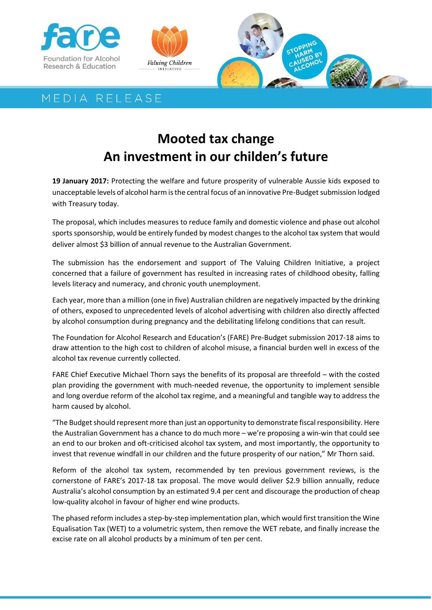





## MEDIA RELEASE

## **Mooted tax change An investment in our childen's future**

**19 January 2017:** Protecting the welfare and future prosperity of vulnerable Aussie kids exposed to unacceptable levels of alcohol harm is the central focus of an innovative Pre-Budget submission lodged with Treasury today.

The proposal, which includes measures to reduce family and domestic violence and phase out alcohol sports sponsorship, would be entirely funded by modest changes to the alcohol tax system that would deliver almost \$3 billion of annual revenue to the Australian Government.

The submission has the endorsement and support of The Valuing Children Initiative, a project concerned that a failure of government has resulted in increasing rates of childhood obesity, falling levels literacy and numeracy, and chronic youth unemployment.

Each year, more than a million (one in five) Australian children are negatively impacted by the drinking of others, exposed to unprecedented levels of alcohol advertising with children also directly affected by alcohol consumption during pregnancy and the debilitating lifelong conditions that can result.

The Foundation for Alcohol Research and Education's (FARE) Pre-Budget submission 2017-18 aims to draw attention to the high cost to children of alcohol misuse, a financial burden well in excess of the alcohol tax revenue currently collected.

FARE Chief Executive Michael Thorn says the benefits of its proposal are threefold – with the costed plan providing the government with much-needed revenue, the opportunity to implement sensible and long overdue reform of the alcohol tax regime, and a meaningful and tangible way to address the harm caused by alcohol.

"The Budget should represent more than just an opportunity to demonstrate fiscal responsibility. Here the Australian Government has a chance to do much more – we're proposing a win-win that could see an end to our broken and oft-criticised alcohol tax system, and most importantly, the opportunity to invest that revenue windfall in our children and the future prosperity of our nation," Mr Thorn said.

Reform of the alcohol tax system, recommended by ten previous government reviews, is the cornerstone of FARE's 2017-18 tax proposal. The move would deliver \$2.9 billion annually, reduce Australia's alcohol consumption by an estimated 9.4 per cent and discourage the production of cheap low-quality alcohol in favour of higher end wine products.

The phased reform includes a step-by-step implementation plan, which would first transition the Wine Equalisation Tax (WET) to a volumetric system, then remove the WET rebate, and finally increase the excise rate on all alcohol products by a minimum of ten per cent.